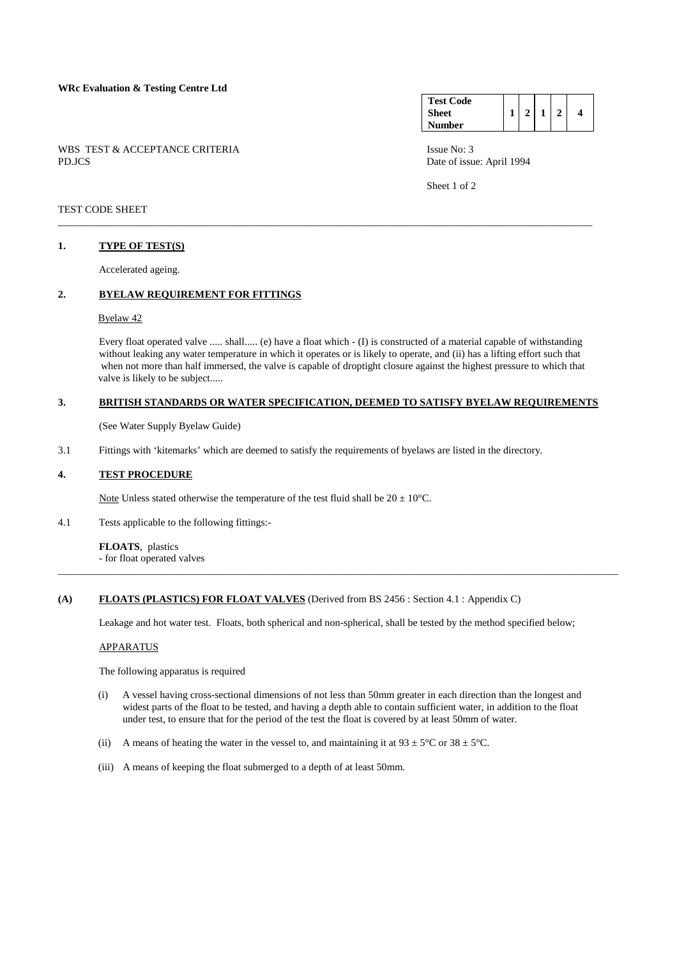WBS TEST & ACCEPTANCE CRITERIA ISSUE No: 3 PD.JCS Date of issue: April 1994

#### **Test Code Sheet Number 1 2 1 2 4**

Sheet 1 of 2

### TEST CODE SHEET

### **1. TYPE OF TEST(S)**

Accelerated ageing.

## **2. BYELAW REQUIREMENT FOR FITTINGS**

#### Byelaw 42

 Every float operated valve ..... shall..... (e) have a float which - (I) is constructed of a material capable of withstanding without leaking any water temperature in which it operates or is likely to operate, and (ii) has a lifting effort such that when not more than half immersed, the valve is capable of droptight closure against the highest pressure to which that valve is likely to be subject.....

### **3. BRITISH STANDARDS OR WATER SPECIFICATION, DEEMED TO SATISFY BYELAW REQUIREMENTS**

\_\_\_\_\_\_\_\_\_\_\_\_\_\_\_\_\_\_\_\_\_\_\_\_\_\_\_\_\_\_\_\_\_\_\_\_\_\_\_\_\_\_\_\_\_\_\_\_\_\_\_\_\_\_\_\_\_\_\_\_\_\_\_\_\_\_\_\_\_\_\_\_\_\_\_\_\_\_\_\_\_\_\_\_\_\_\_\_\_\_\_\_\_\_\_\_\_\_\_\_\_\_\_

(See Water Supply Byelaw Guide)

3.1 Fittings with 'kitemarks' which are deemed to satisfy the requirements of byelaws are listed in the directory.

### **4. TEST PROCEDURE**

Note Unless stated otherwise the temperature of the test fluid shall be  $20 \pm 10^{\circ}$ C.

4.1 Tests applicable to the following fittings:-

**FLOATS**, plastics - for float operated valves

#### **(A) FLOATS (PLASTICS) FOR FLOAT VALVES** (Derived from BS 2456 : Section 4.1 : Appendix C)

Leakage and hot water test. Floats, both spherical and non-spherical, shall be tested by the method specified below;

\_\_\_\_\_\_\_\_\_\_\_\_\_\_\_\_\_\_\_\_\_\_\_\_\_\_\_\_\_\_\_\_\_\_\_\_\_\_\_\_\_\_\_\_\_\_\_\_\_\_\_\_\_\_\_\_\_\_\_\_\_\_\_\_\_\_\_\_\_\_\_\_\_\_\_\_\_\_\_\_\_\_\_\_\_\_\_\_\_\_\_\_\_\_\_\_\_\_\_\_\_\_\_\_\_\_\_\_

#### APPARATUS

The following apparatus is required

- (i) A vessel having cross-sectional dimensions of not less than 50mm greater in each direction than the longest and widest parts of the float to be tested, and having a depth able to contain sufficient water, in addition to the float under test, to ensure that for the period of the test the float is covered by at least 50mm of water.
- (ii) A means of heating the water in the vessel to, and maintaining it at  $93 \pm 5^{\circ}$ C or  $38 \pm 5^{\circ}$ C.
- (iii) A means of keeping the float submerged to a depth of at least 50mm.